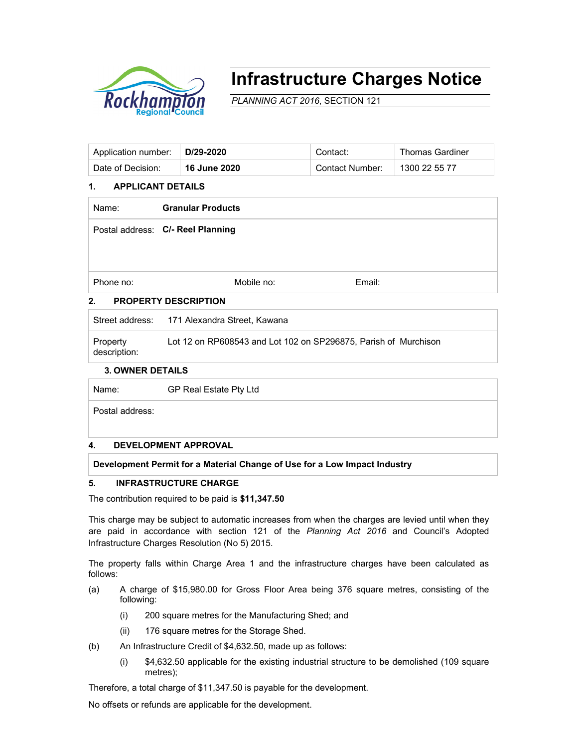

# **Infrastructure Charges Notice**

*PLANNING ACT 2016*, SECTION 121

| Application number:   D/29-2020 |                     | Contact:        | <b>Thomas Gardiner</b> |
|---------------------------------|---------------------|-----------------|------------------------|
| Date of Decision:               | <b>16 June 2020</b> | Contact Number: | 1300 22 55 77          |

### **1. APPLICANT DETAILS**

| Name:                             | <b>Granular Products</b>          |        |  |  |  |  |
|-----------------------------------|-----------------------------------|--------|--|--|--|--|
|                                   | Postal address: C/- Reel Planning |        |  |  |  |  |
|                                   |                                   |        |  |  |  |  |
| Phone no:                         | Mobile no:                        | Email: |  |  |  |  |
| 2.<br><b>PROPERTY DESCRIPTION</b> |                                   |        |  |  |  |  |

# **2. PROPERTY DESCRIPTION**

| description:<br><u>.  </u> |                                                                 |
|----------------------------|-----------------------------------------------------------------|
| Property                   | Lot 12 on RP608543 and Lot 102 on SP296875, Parish of Murchison |
|                            | Street address: 171 Alexandra Street. Kawana                    |

### **3. OWNER DETAILS**

Name: GP Real Estate Pty Ltd

Postal address:

#### **4. DEVELOPMENT APPROVAL**

**Development Permit for a Material Change of Use for a Low Impact Industry** 

## **5. INFRASTRUCTURE CHARGE**

The contribution required to be paid is **\$11,347.50**

This charge may be subject to automatic increases from when the charges are levied until when they are paid in accordance with section 121 of the *Planning Act 2016* and Council's Adopted Infrastructure Charges Resolution (No 5) 2015.

The property falls within Charge Area 1 and the infrastructure charges have been calculated as follows:

- (a) A charge of \$15,980.00 for Gross Floor Area being 376 square metres, consisting of the following:
	- (i) 200 square metres for the Manufacturing Shed; and
	- (ii) 176 square metres for the Storage Shed.
- (b) An Infrastructure Credit of \$4,632.50, made up as follows:
	- (i) \$4,632.50 applicable for the existing industrial structure to be demolished (109 square metres);

Therefore, a total charge of \$11,347.50 is payable for the development.

No offsets or refunds are applicable for the development.